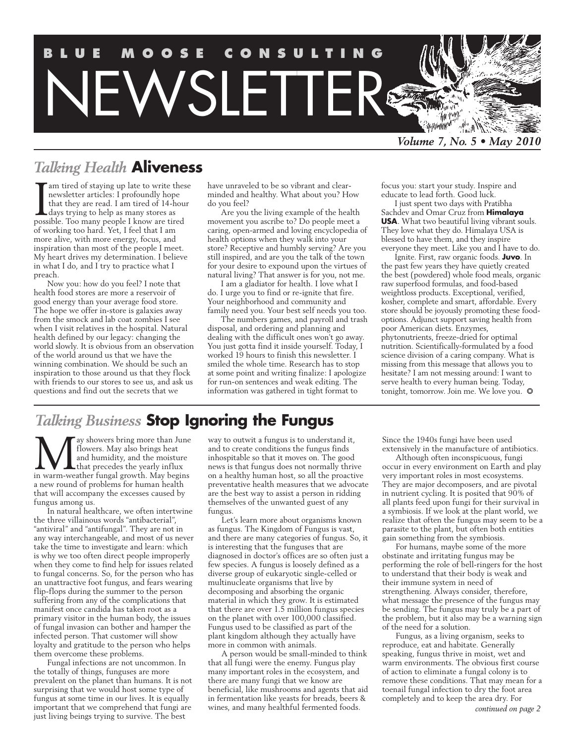

# *Talking Health* **Aliveness**

am tired of staying up late to write these newsletter articles: I profoundly hope that they are read. I am tired of 14-hour days trying to help as many stores as possible. Too many people I know are tired of working too hard. Yet, I feel that I am more alive, with more energy, focus, and inspiration than most of the people I meet. My heart drives my determination. I believe in what I do, and I try to practice what I preach.

Now you: how do you feel? I note that health food stores are more a reservoir of good energy than your average food store. The hope we offer in-store is galaxies away from the smock and lab coat zombies I see when I visit relatives in the hospital. Natural health defined by our legacy: changing the world slowly. It is obvious from an observation of the world around us that we have the winning combination. We should be such an inspiration to those around us that they flock with friends to our stores to see us, and ask us questions and find out the secrets that we

have unraveled to be so vibrant and clearminded and healthy. What about you? How do you feel?

Are you the living example of the health movement you ascribe to? Do people meet a caring, open-armed and loving encyclopedia of health options when they walk into your store? Receptive and humbly serving? Are you still inspired, and are you the talk of the town for your desire to expound upon the virtues of natural living? That answer is for you, not me.

I am a gladiator for health. I love what I do. I urge you to find or re-ignite that fire. Your neighborhood and community and family need you. Your best self needs you too.

The numbers games, and payroll and trash disposal, and ordering and planning and dealing with the difficult ones won't go away. You just gotta find it inside yourself. Today, I worked 19 hours to finish this newsletter. I smiled the whole time. Research has to stop at some point and writing finalize: I apologize for run-on sentences and weak editing. The information was gathered in tight format to

focus you: start your study. Inspire and educate to lead forth. Good luck.

I just spent two days with Pratibha Sachdev and Omar Cruz from **Himalaya USA**. What two beautiful living vibrant souls. They love what they do. Himalaya USA is blessed to have them, and they inspire everyone they meet. Like you and I have to do.

Ignite. First, raw organic foods. **Juvo**. In the past few years they have quietly created the best (powdered) whole food meals, organic raw superfood formulas, and food-based weightloss products. Exceptional, verified, kosher, complete and smart, affordable. Every store should be joyously promoting these foodoptions. Adjunct support saving health from poor American diets. Enzymes, phytonutrients, freeze-dried for optimal nutrition. Scientifically-formulated by a food science division of a caring company. What is missing from this message that allows you to hesitate? I am not messing around: I want to serve health to every human being. Today, tonight, tomorrow. Join me. We love you.  $\heartsuit$ 

# *Talking Business* **Stop Ignoring the Fungus**

**May** showers bring more than June flowers. May also brings heat and humidity, and the moisture that precedes the yearly influx in warm-weather fungal growth. May begins flowers. May also brings heat and humidity, and the moisture **L** that precedes the yearly influx a new round of problems for human health that will accompany the excesses caused by fungus among us.

In natural healthcare, we often intertwine the three villainous words "antibacterial", "antiviral" and "antifungal". They are not in any way interchangeable, and most of us never take the time to investigate and learn: which is why we too often direct people improperly when they come to find help for issues related to fungal concerns. So, for the person who has an unattractive foot fungus, and fears wearing flip-flops during the summer to the person suffering from any of the complications that manifest once candida has taken root as a primary visitor in the human body, the issues of fungal invasion can bother and hamper the infected person. That customer will show loyalty and gratitude to the person who helps them overcome these problems.

Fungal infections are not uncommon. In the totally of things, funguses are more prevalent on the planet than humans. It is not surprising that we would host some type of fungus at some time in our lives. It is equally important that we comprehend that fungi are just living beings trying to survive. The best

way to outwit a fungus is to understand it, and to create conditions the fungus finds inhospitable so that it moves on. The good news is that fungus does not normally thrive on a healthy human host, so all the proactive preventative health measures that we advocate are the best way to assist a person in ridding themselves of the unwanted guest of any fungus.

Let's learn more about organisms known as fungus. The Kingdom of Fungus is vast, and there are many categories of fungus. So, it is interesting that the funguses that are diagnosed in doctor's offices are so often just a few species. A fungus is loosely defined as a diverse group of eukaryotic single-celled or multinucleate organisms that live by decomposing and absorbing the organic material in which they grow. It is estimated that there are over 1.5 million fungus species on the planet with over 100,000 classified. Fungus used to be classified as part of the plant kingdom although they actually have more in common with animals.

A person would be small-minded to think that all fungi were the enemy. Fungus play many important roles in the ecosystem, and there are many fungi that we know are beneficial, like mushrooms and agents that aid in fermentation like yeasts for breads, beers & wines, and many healthful fermented foods.

Since the 1940s fungi have been used extensively in the manufacture of antibiotics.

Although often inconspicuous, fungi occur in every environment on Earth and play very important roles in most ecosystems. They are major decomposers, and are pivotal in nutrient cycling. It is posited that 90% of all plants feed upon fungi for their survival in a symbiosis. If we look at the plant world, we realize that often the fungus may seem to be a parasite to the plant, but often both entities gain something from the symbiosis.

For humans, maybe some of the more obstinate and irritating fungus may be performing the role of bell-ringers for the host to understand that their body is weak and their immune system in need of strengthening. Always consider, therefore, what message the presence of the fungus may be sending. The fungus may truly be a part of the problem, but it also may be a warning sign of the need for a solution.

Fungus, as a living organism, seeks to reproduce, eat and habitate. Generally speaking, fungus thrive in moist, wet and warm environments. The obvious first course of action to eliminate a fungal colony is to remove these conditions. That may mean for a toenail fungal infection to dry the foot area completely and to keep the area dry. For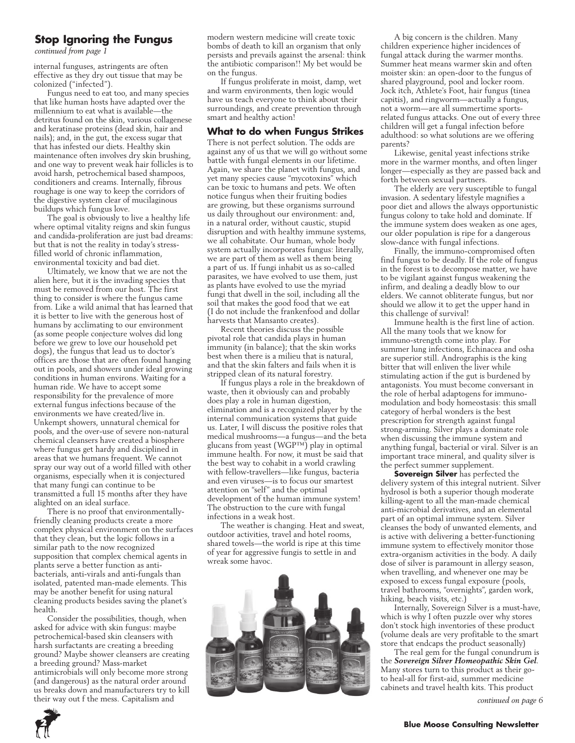#### **Stop Ignoring the Fungus**

*continued from page 1*

internal funguses, astringents are often effective as they dry out tissue that may be colonized ("infected").

Fungus need to eat too, and many species that like human hosts have adapted over the millennium to eat what is available—the detritus found on the skin, various collagenese and keratinase proteins (dead skin, hair and nails); and, in the gut, the excess sugar that that has infested our diets. Healthy skin maintenance often involves dry skin brushing, and one way to prevent weak hair follicles is to avoid harsh, petrochemical based shampoos, conditioners and creams. Internally, fibrous roughage is one way to keep the corridors of the digestive system clear of mucilaginous buildups which fungus love.

The goal is obviously to live a healthy life where optimal vitality reigns and skin fungus and candida-proliferation are just bad dreams: but that is not the reality in today's stressfilled world of chronic inflammation, environmental toxicity and bad diet.

Ultimately, we know that we are not the alien here, but it is the invading species that must be removed from our host. The first thing to consider is where the fungus came from. Like a wild animal that has learned that it is better to live with the generous host of humans by acclimating to our environment (as some people conjecture wolves did long before we grew to love our household pet dogs), the fungus that lead us to doctor's offices are those that are often found hanging out in pools, and showers under ideal growing conditions in human environs. Waiting for a human ride. We have to accept some responsibility for the prevalence of more external fungus infections because of the environments we have created/live in. Unkempt showers, unnatural chemical for pools, and the over-use of severe non-natural chemical cleansers have created a biosphere where fungus get hardy and disciplined in areas that we humans frequent. We cannot spray our way out of a world filled with other organisms, especially when it is conjectured that many fungi can continue to be transmitted a full 15 months after they have alighted on an ideal surface.

There is no proof that environmentallyfriendly cleaning products create a more complex physical environment on the surfaces that they clean, but the logic follows in a similar path to the now recognized supposition that complex chemical agents in plants serve a better function as antibacterials, anti-virals and anti-fungals than isolated, patented man-made elements. This may be another benefit for using natural cleaning products besides saving the planet's health.

Consider the possibilities, though, when asked for advice with skin fungus: maybe petrochemical-based skin cleansers with harsh surfactants are creating a breeding ground? Maybe shower cleansers are creating a breeding ground? Mass-market antimicrobials will only become more strong (and dangerous) as the natural order around us breaks down and manufacturers try to kill their way out f the mess. Capitalism and

modern western medicine will create toxic bombs of death to kill an organism that only persists and prevails against the arsenal: think the antibiotic comparison!! My bet would be on the fungus.

If fungus proliferate in moist, damp, wet and warm environments, then logic would have us teach everyone to think about their surroundings, and create prevention through smart and healthy action!

#### **What to do when Fungus Strikes**

There is not perfect solution. The odds are against any of us that we will go without some battle with fungal elements in our lifetime. Again, we share the planet with fungus, and yet many species cause "mycotoxins" which can be toxic to humans and pets. We often notice fungus when their fruiting bodies are growing, but these organisms surround us daily throughout our environment: and, in a natural order, without caustic, stupid disruption and with healthy immune systems, we all cohabitate. Our human, whole body system actually incorporates fungus: literally, we are part of them as well as them being a part of us. If fungi inhabit us as so-called parasites, we have evolved to use them, just as plants have evolved to use the myriad fungi that dwell in the soil, including all the soil that makes the good food that we eat (I do not include the frankenfood and dollar harvests that Mansanto creates).

Recent theories discuss the possible pivotal role that candida plays in human immunity (in balance); that the skin works best when there is a milieu that is natural, and that the skin falters and fails when it is stripped clean of its natural forestry.

If fungus plays a role in the breakdown of waste, then it obviously can and probably does play a role in human digestion, elimination and is a recognized player by the internal communication systems that guide us. Later, I will discuss the positive roles that medical mushrooms—a fungus—and the beta glucans from yeast (WGP™) play in optimal immune health. For now, it must be said that the best way to cohabit in a world crawling with fellow-travellers—like fungus, bacteria and even viruses—is to focus our smartest attention on "self" and the optimal development of the human immune system! The obstruction to the cure with fungal infections in a weak host.

The weather is changing. Heat and sweat, outdoor activities, travel and hotel rooms, shared towels—the world is ripe at this time of year for aggressive fungis to settle in and wreak some havoc.



A big concern is the children. Many children experience higher incidences of fungal attack during the warmer months. Summer heat means warmer skin and often moister skin: an open-door to the fungus of shared playground, pool and locker room. Jock itch, Athlete's Foot, hair fungus (tinea capitis), and ringworm—actually a fungus, not a worm—are all summertime sportsrelated fungus attacks. One out of every three children will get a fungal infection before adulthood: so what solutions are we offering parents?

Likewise, genital yeast infections strike more in the warmer months, and often linger longer—especially as they are passed back and forth between sexual partners.

The elderly are very susceptible to fungal invasion. A sedentary lifestyle magnifies a poor diet and allows the always opportunistic fungus colony to take hold and dominate. If the immune system does weaken as one ages, our older population is ripe for a dangerous slow-dance with fungal infections.

Finally, the immuno-compromised often find fungus to be deadly. If the role of fungus in the forest is to decompose matter, we have to be vigilant against fungus weakening the infirm, and dealing a deadly blow to our elders. We cannot obliterate fungus, but nor should we allow it to get the upper hand in this challenge of survival!

Immune health is the first line of action. All the many tools that we know for immuno-strength come into play. For summer lung infections, Echinacea and osha are superior still. Andrographis is the king bitter that will enliven the liver while stimulating action if the gut is burdened by antagonists. You must become conversant in the role of herbal adaptogens for immunomodulation and body homeostasis: this small category of herbal wonders is the best prescription for strength against fungal strong-arming. Silver plays a dominate role when discussing the immune system and anything fungal, bacterial or viral. Silver is an important trace mineral, and quality silver is the perfect summer supplement.

**Sovereign Silver** has perfected the delivery system of this integral nutrient. Silver hydrosol is both a superior though moderate killing-agent to all the man-made chemical anti-microbial derivatives, and an elemental part of an optimal immune system. Silver cleanses the body of unwanted elements, and is active with delivering a better-functioning immune system to effectively monitor those extra-organism activities in the body. A daily dose of silver is paramount in allergy season, when travelling, and whenever one may be exposed to excess fungal exposure (pools, travel bathrooms, "overnights", garden work, hiking, beach visits, etc.)

Internally, Sovereign Silver is a must-have, which is why I often puzzle over why stores don't stock high inventories of these product (volume deals are very profitable to the smart store that endcaps the product seasonally)

The real gem for the fungal conundrum is the *Sovereign Silver Homeopathic Skin Gel*. Many stores turn to this product as their goto heal-all for first-aid, summer medicine cabinets and travel health kits. This product

*continued on page 6*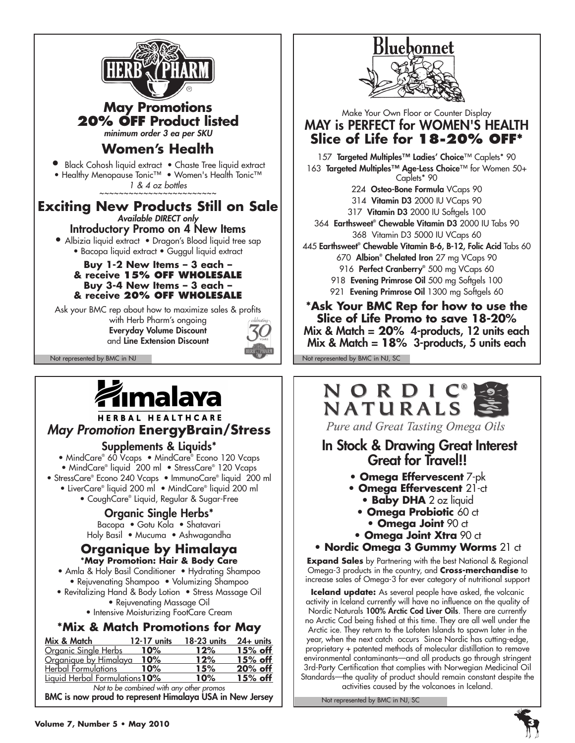

**May Promotions 20% off Product listed**

*minimum order 3 ea per SKU*

# **Women's Health**

**•** Black Cohosh liquid extract • Chaste Tree liquid extract

• Healthy Menopause Tonic™ • Women's Health Tonic™ *1 & 4 oz bottles* 

**Exciting New Products Still on Sale** *Available DIRECT only* Introductory Promo on 4 New Items

• Albizia liquid extract • Dragon's Blood liquid tree sap

• Bacopa liquid extract • Guggul liquid extract

#### **Buy 1-2 New Items – 3 each – & receive 15% off wholesale Buy 3-4 New Items – 3 each – & receive 20% off wholesale**

Ask your BMC rep about how to maximize sales & profits

with Herb Pharm's ongoing Everyday Volume Discount and Line Extension Discount





#### HERBAL HEALTHCARE *May Promotion* **EnergyBrain/Stress**

Supplements & Liquids\*

• MindCare® 60 Vcaps • MindCare® Econo 120 Vcaps • MindCare® liquid 200 ml • StressCare® 120 Vcaps

- StressCare® Econo 240 Vcaps ImmunoCare® liquid 200 ml
	- LiverCare® liquid 200 ml MindCare® liquid 200 ml
		- CoughCare® Liquid, Regular & Sugar-Free

# Organic Single Herbs\*

Bacopa • Gotu Kola • Shatavari Holy Basil • Mucuma • Ashwagandha

#### **Organique by Himalaya \*May Promotion: Hair & Body Care**

- Amla & Holy Basil Conditioner Hydrating Shampoo • Rejuvenating Shampoo • Volumizing Shampoo
- Revitalizing Hand & Body Lotion Stress Massage Oil • Rejuvenating Massage Oil
	- Intensive Moisturizing FootCare Cream

# **\*Mix & Match Promotions for May**

| Mix & Match                    | 12-17 units | 18-23 units | $24 +$ units |
|--------------------------------|-------------|-------------|--------------|
| Organic Single Herbs           | $10\%$      | 12%         | 15% off      |
| Organique by Himalaya          | 10%         | 12%         | $15%$ off    |
| Herbal Formulations            | 10%         | 15%         | 20% off      |
| Liquid Herbal Formulations 10% |             | 10%         | 15% off      |
|                                |             |             |              |

*Not to be combined with any other promos* BMC is now proud to represent Himalaya USA in New Jersey



## Make Your Own Floor or Counter Display MAY is PERFECT for WOMEN'S HEALTH **Slice of Life for 18-20% off\***

157 Targeted Multiples™ Ladies' Choice™ Caplets\* 90 163 Targeted Multiples™ Age-Less Choice™ for Women 50+ Caplets\* 90 224 Osteo-Bone Formula VCaps 90 314 Vitamin D3 2000 IU VCaps 90 317 Vitamin D3 2000 IU Softgels 100 364 Earthsweet® Chewable Vitamin D3 2000 IU Tabs 90 368 Vitamin D3 5000 IU VCaps 60 445 Earthsweet® Chewable Vitamin B-6, B-12, Folic Acid Tabs 60 670 Albion® Chelated Iron 27 mg VCaps 90 916 Perfect Cranberry® 500 mg VCaps 60 918 Evening Primrose Oil 500 mg Softgels 100 921 Evening Primrose Oil 1300 mg Softgels 60 **\*Ask Your BMC Rep for how to use the Slice of Life Promo to save 18-20%** Mix & Match = **20%** 4-products, 12 units each

Mix & Match = **18%** 3-products, 5 units each

Not represented by BMC in NJ Not represented by BMC in NJ, SC Not represented by BMC in NJ, SC



Pure and Great Tasting Omega Oils

# In Stock & Drawing Great Interest Great for Travel!!

- **Omega Effervescent** 7-pk
- **Omega Effervescent** 21-ct
	- **Baby DHA** 2 oz liquid
	- **Omega Probiotic** 60 ct
	- **Omega Joint 90 ct**
- **Omega Joint Xtra 90 ct**
- **Nordic Omega 3 Gummy Worms** 21 ct

**Expand Sales** by Partnering with the best National & Regional Omega-3 products in the country, and **Cross-merchandise** to increase sales of Omega-3 for ever category of nutritional support

**Iceland update:** As several people have asked, the volcanic activity in Iceland currently will have no influence on the quality of Nordic Naturals 100% Arctic Cod Liver Oils. There are currently no Arctic Cod being fished at this time. They are all well under the Arctic ice. They return to the Lofoten Islands to spawn later in the year, when the next catch occurs Since Nordic has cutting-edge, proprietary + patented methods of molecular distillation to remove environmental contaminants—and all products go through stringent 3rd-Party Certification that complies with Norwegian Medicinal Oil Standards—the quality of product should remain constant despite the activities caused by the volcanoes in Iceland.

Not represented by BMC in NJ, SC

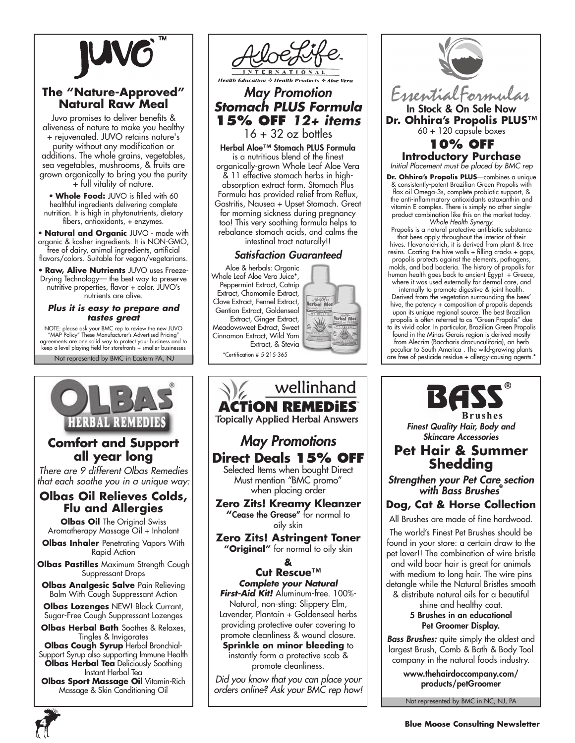

### **The "Nature-Approved" Natural Raw Meal**

Juvo promises to deliver benefits & aliveness of nature to make you healthy + rejuvenated. JUVO retains nature's purity without any modification or additions. The whole grains, vegetables, sea vegetables, mushrooms, & fruits are grown organically to bring you the purity + full vitality of nature.

• **Whole Food:** JUVO is filled with 60 healthful ingredients delivering complete nutrition. It is high in phytonutrients, dietary fibers, antioxidants, + enzymes.

• **Natural and Organic** JUVO - made with organic & kosher ingredients. It is NON-GMO, free of dairy, animal ingredients, artificial flavors/colors. Suitable for vegan/vegetarians.

• **Raw, Alive Nutrients** JUVO uses Freeze-Drying Technology— the best way to preserve nutritive properties, flavor + color. JUVO's nutrients are alive.

#### *Plus it is easy to prepare and tastes great*

Not represented by BMC in Eastern PA, NJ NOTE: please ask your BMC rep to review the new JUVO "MAP Policy" These Manufacturer's Advertised Pricing" agreements are one solid way to protect your business and to keep a level playing-field for storefronts + smaller businesses



# **Comfort and Support all year long**

*There are 9 different Olbas Remedies that each soothe you in a unique way:*

#### **Olbas Oil Relieves Colds, Flu and Allergies**

**Olbas Oil** The Original Swiss Aromatherapy Massage Oil + Inhalant

**Olbas Inhaler** Penetrating Vapors With Rapid Action

**Olbas Pastilles** Maximum Strength Cough Suppressant Drops

**Olbas Analgesic Salve Pain Relieving** Balm With Cough Suppressant Action

**Olbas Lozenges** NEW! Black Currant, Sugar-Free Cough Suppressant Lozenges

**Olbas Herbal Bath** Soothes & Relaxes, Tingles & Invigorates

**Olbas Cough Syrup** Herbal Bronchial-Support Syrup also supporting Immune Health **Olbas Herbal Tea** Deliciously Soothing Instant Herbal Tea

**Olbas Sport Massage Oil** Vitamin-Rich Massage & Skin Conditioning Oil



**Health Education** ☆ Health Products ☆ Aloe Vera

# *May Promotion Stomach PLUS Formula* **15% off** *12+ items*

 $16 + 32$  oz bottles

Herbal Aloe™ Stomach PLUS Formula is a nutritious blend of the finest organically-grown Whole Leaf Aloe Vera & 11 effective stomach herbs in highabsorption extract form. Stomach Plus Formula has provided relief from Reflux, Gastritis, Nausea + Upset Stomach. Great for morning sickness during pregnancy too! This very soothing formula helps to

rebalance stomach acids, and calms the

#### intestinal tract naturally!!

#### *Satisfaction Guaranteed*

Aloe & herbals: Organic Whole Leaf Aloe Vera Juice\*, Peppermint Extract, Catnip Extract, Chamomile Extract, Clove Extract, Fennel Extract, Gentian Extract, Goldenseal Extract, Ginger Extract, Meadowsweet Extract, Sweet Cinnamon Extract, Wild Yam Extract, & Stevia \*Certification # 5-215-365



wellinhand **ACTION REMEDIES Topically Applied Herbal Answers** *May Promotions* **Direct Deals 15% OFF** Selected Items when bought Direct Must mention "BMC promo" when placing order **Zero Zits! Kreamy Kleanzer "**Cease the Grease" for normal to oily skin **Zero Zits! Astringent Toner "Original"** for normal to oily skin **& Cut Rescue™** *Complete your Natural First-Aid Kit!* Aluminum-free. 100%- Natural, non-sting: Slippery Elm, Lavender, Plantain + Goldenseal herbs providing protective outer covering to promote cleanliness & wound closure. **Sprinkle on minor bleeding to** instantly form a protective scab & promote cleanliness. *Did you know that you can place your orders online? Ask your BMC rep how!*



& consistently-potent Brazilian Green Propolis with flax oil Omega-3s, complete probiotic support, & the anti-inflammatory antioxidants astaxanthin and vitamin E complex. There is simply no other singleproduct combination like this on the market today. *Whole Health Synergy.*

Propolis is a natural protective antibiotic substance that bees apply throughout the interior of their hives. Flavonoid-rich, it is derived from plant & tree resins. Coating the hive walls + filling cracks + gaps, propolis protects against the elements, pathogens, molds, and bad bacteria. The history of propolis for human health goes back to ancient Egypt + Greece, where it was used externally for dermal care, and

internally to promote digestive & joint health. Derived from the vegetation surrounding the bees' hive, the potency + composition of propolis depends upon its unique regional source. The best Brazilian propolis is often referred to as "Green Propolis" due to its vivid color. In particular, Brazilian Green Propolis found in the Minas Gerais region is derived mostly

from Alecrim (Baccharis dracunculiforia), an herb peculiar to South America . The wild-growing plants are free of pesticide residue + allergy-causing agents.\*



*Finest Quality Hair, Body and Skincare Accessories*

# **Pet Hair & Summer Shedding**

*Strengthen your Pet Care section with Bass Brushes***®**

#### **Dog, Cat & Horse Collection**

All Brushes are made of fine hardwood.

The world's Finest Pet Brushes should be found in your store: a certain draw to the pet lover!! The combination of wire bristle and wild boar hair is great for animals with medium to long hair. The wire pins detangle while the Natural Bristles smooth & distribute natural oils for a beautiful

> shine and healthy coat. 5 Brushes in an educational Pet Groomer Display.

*Bass Brushes:* quite simply the oldest and largest Brush, Comb & Bath & Body Tool company in the natural foods industry.

> www.thehairdoccompany.com/ products/petGroomer

Not represented by BMC in NC, NJ, PA

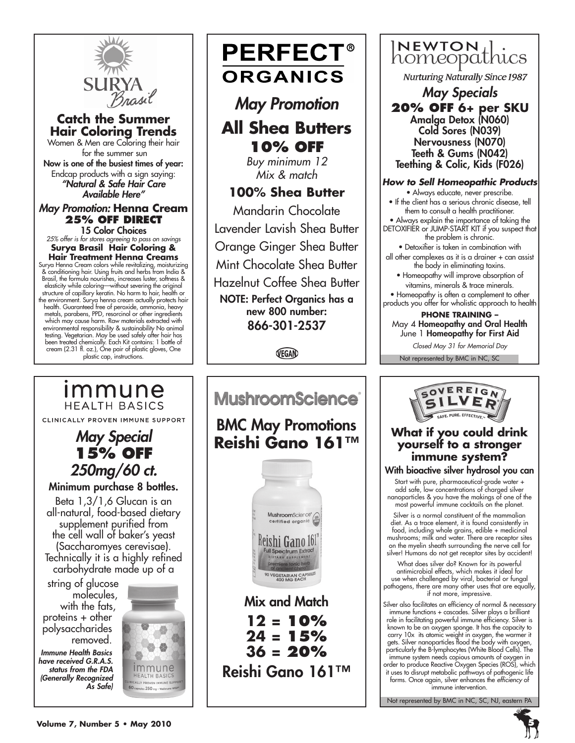

## **Catch the Summer Hair Coloring Trends**

Women & Men are Coloring their hair for the summer sun Now is one of the busiest times of year: Endcap products with a sign saying: *"Natural & Safe Hair Care Available Here"*

#### *May Promotion:* **Henna Cream 25% off Direct**

15 Color Choices *25% offer is for stores agreeing to pass on savings* **Surya Brasil Hair Coloring & Hair Treatment Henna Creams** Surya Henna Cream colors while revitalizing, moisturizing & conditioning hair. Using fruits and herbs from India & Brasil, the formula nourishes, increases luster, softness & elasticity while coloring—without severing the original<br>structure of capillary keratin. No harm to hair, health or<br>the environment. Surya henna cream actually protects hair<br>health. Guaranteed free of peroxide, ammonia, hea

metals, parabens, PPD, resorcinol or other ingredients which may cause harm. Raw materials extracted with<br>environmental responsibility & sustainability No animal<br>testing. Vegetarian. May be used safely after hair has<br>been treated chemically. Each Kit contains: 1 bottle of<br>crea plastic cap, instructions.

*May Special* **15% off** *250mg/60 ct.* Minimum purchase 8 bottles. Beta 1,3/1,6 Glucan is an all-natural, food-based dietary supplement purified from the cell wall of baker's yeast (Saccharomyes cerevisae). Technically it is a highly refined

immune

**HEALTH BASICS** 

CLINICALLY PROVEN IMMUNE SUPPORT

# **PERFECT® ORGANICS**

*May Promotion* **All Shea Butters 10% off**

*Buy minimum 12 Mix & match*

# **100% Shea Butter**

Mandarin Chocolate Lavender Lavish Shea Butter Orange Ginger Shea Butter Mint Chocolate Shea Butter Hazelnut Coffee Shea Butter NOTE: Perfect Organics has a new 800 number: 866-301-2537

VEGAN



# INEWTON 1.

**Nurturing Naturally Since 1987** 

*May Specials* **20% off 6+ per SKU** Amalga Detox (N060) Cold Sores (N039) Nervousness (N070) Teeth & Gums (N042) Teething & Colic, Kids (F026)

#### *How to Sell Homeopathic Products*

• Always educate, never prescribe.

- If the client has a serious chronic disease, tell them to consult a health practitioner.
- Always explain the importance of taking the DETOXIFIER or JUMP-START KIT if you suspect that the problem is chronic.

• Detoxifier is taken in combination with all other complexes as it is a drainer + can assist the body in eliminating toxins.

• Homeopathy will improve absorption of vitamins, minerals & trace minerals.

• Homeopathy is often a complement to other products you offer for wholistic approach to health

**Phone training –** May 4 Homeopathy and Oral Health June 1 Homeopathy for First Aid

*Closed May 31 for Memorial Day*

Not represented by BMC in NC, SC



# **What if you could drink yourself to a stronger immune system?**

With bioactive silver hydrosol you can

Start with pure, pharmaceutical-grade water + add safe, low concentrations of charged silver nanoparticles & you have the makings of one of the most powerful immune cocktails on the planet.

Silver is a normal constituent of the mammalian diet. As a trace element, it is found consistently in food, including whole grains, edible + medicinal mushrooms; milk and water. There are receptor sites on the myelin sheath surrounding the nerve cell for silver! Humans do not get receptor sites by accident!

What does silver do? Known for its powerful antimicrobial effects, which makes it ideal for use when challenged by viral, bacterial or fungal pathogens, there are many other uses that are equally, if not more, impressive.

Silver also facilitates an efficiency of normal & necessary immune functions + cascades. Silver plays a brilliant role in facilitating powerful immune efficiency. Silver is known to be an oxygen sponge. It has the capacity to carry 10x its atomic weight in oxygen, the warmer it gets. Silver nanoparticles flood the body with oxygen, particularly the B-lymphocytes (White Blood Cells). The immune system needs copious amounts of oxygen in order to produce Reactive Oxygen Species (ROS), which it uses to disrupt metabolic pathways of pathogenic life forms. Once again, silver enhances the *efficiency* of immune intervention.

Not represented by BMC in NC, SC, NJ, eastern PA

carbohydrate made up of a string of glucose molecules, with the fats, proteins + other polysaccharides removed.

*Immune Health Basics have received G.R.A.S. status from the FDA (Generally Recognized As Safe)*



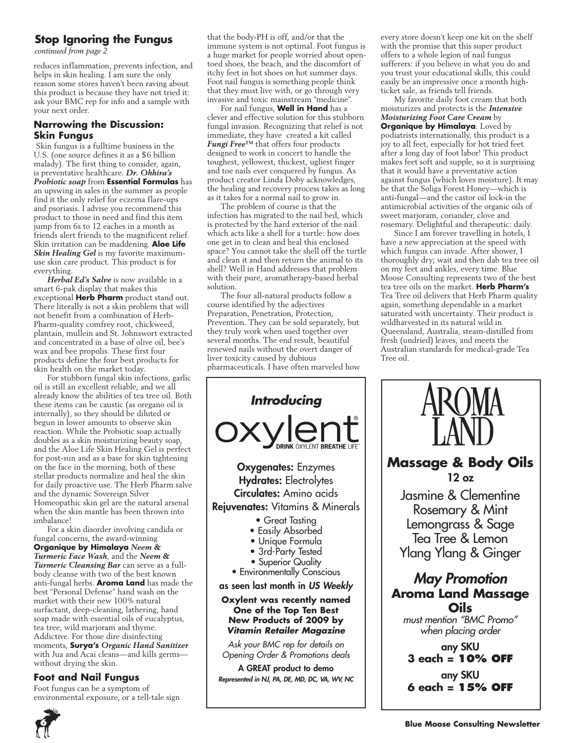#### **Stop Ignoring the Fungus**

*continued from page 2*

reduces inflammation, prevents infection, and helps in skin healing. I am sure the only reason some stores haven't been raving about this product is because they have not tried it: ask your BMC rep for info and a sample with your next order.

#### **Narrowing the Discussion: Skin Fungus**

 Skin fungus is a fulltime business in the U.S. (one source defines it as a \$6 billion malady). The first thing to consider, again, is preventative healthcare. *Dr. Ohhira's Probiotic soap* from **Essential Formulas** has an upswing in sales in the summer as people find it the only relief for eczema flare-ups and psoriasis. I advise you recommend this product to those in need and find this item jump from 6s to 12 eaches in a month as friends alert friends to the magnificent relief. Skin irritation can be maddening. **Aloe Life** *Skin Healing Gel* is my favorite maximumuse skin care product. This product is for everything.

*Herbal Ed's Salve* is now available in a smart 6-pak display that makes this exceptional **Herb Pharm** product stand out. There literally is not a skin problem that will not benefit from a combination of Herb-Pharm-quality comfrey root, chickweed, plantain, mullein and St. Johnswort extracted and concentrated in a base of olive oil, bee's wax and bee propolis. These first four products define the four best products for skin health on the market today.

For stubborn fungal skin infections, garlic oil is still an excellent reliable, and we all already know the abilities of tea tree oil. Both these items can be caustic (as oregano oil is internally), so they should be diluted or begun in lower amounts to observe skin reaction. While the Probiotic soap actually doubles as a skin moisturizing beauty soap, and the Aloe Life Skin Healing Gel is perfect for post-sun and as a base for skin tightening on the face in the morning, both of these stellar products normalize and heal the skin for daily proactive use. The Herb Pharm salve and the dynamic Sovereign Silver Homeopathic skin gel are the natural arsenal when the skin mantle has been thrown into imbalance!

For a skin disorder involving candida or fungal concerns, the award-winning **Organique by Himalaya** *Neem & Turmeric Face Wash*, and the *Neem & Turmeric Cleansing Bar* can serve as a fullbody cleanse with two of the best known anti-fungal herbs. **Aroma Land** has made the best "Personal Defense" hand wash on the market with their new 100% natural surfactant, deep-cleaning, lathering, hand soap made with essential oils of eucalyptus, tea tree, wild marjoram and thyme. Addictive. For those dire disinfecting moments, **Surya's** *Organic Hand Sanitizer*  with Jua and Acai cleans—and kills germs without drying the skin.

#### **Foot and Nail Fungus**

Foot fungus can be a symptom of environmental exposure, or a tell-tale sign that the body-PH is off, and/or that the immune system is not optimal. Foot fungus is a huge market for people worried about opentoed shoes, the beach, and the discomfort of itchy feet in hot shoes on hot summer days. Foot nail fungus is something people think that they must live with, or go through very invasive and toxic mainstream "medicine".

For nail fungus, **Well in Hand** has a clever and effective solution for this stubborn fungal invasion. Recognizing that relief is not immediate, they have created a kit called *Fungi Free™* that offers four products designed to work in concert to handle the toughest, yellowest, thickest, ugliest finger and toe nails ever conquered by fungus. As product creator Linda Doby acknowledges, the healing and recovery process takes as long as it takes for a normal nail to grow in.

The problem of course is that the infection has migrated to the nail bed, which is protected by the hard exterior of the nail which acts like a shell for a turtle: how does one get in to clean and heal this enclosed space? You cannot take the shell off the turtle and clean it and then return the animal to its shell? Well in Hand addresses that problem with their pure, aromatherapy-based herbal solution.

The four all-natural products follow a course identified by the adjectives Preparation, Penetration, Protection, Prevention. They can be sold separately, but they truly work when used together over several months. The end result, beautiful renewed nails without the overt danger of liver toxicity caused by dubious pharmaceuticals. I have often marveled how



rosemary. Delightful and therapeutic: daily. Since I am forever travelling in hotels, I have a new appreciation at the speed with which fungus can invade. After shower, I thoroughly dry; wait and then dab tea tree oil on my feet and ankles, every time. Blue Moose Consulting represents two of the best tea tree oils on the market. **Herb Pharm's** Tea Tree oil delivers that Herb Pharm quality again, something dependable in a market saturated with uncertainty. Their product is wildharvested in its natural wild in Queensland, Australia, steam-distilled from fresh (undried) leaves, and meets the Australian standards for medical-grade Tea Tree oil.

every store doesn't keep one kit on the shelf with the promise that this super product offers to a whole legion of nail fungus sufferers: if you believe in what you do and



A GREAT product to demo *Represented in NJ, PA, DE, MD, DC, VA, WV, NC*



# **Aroma Land Massage Oils**

*must mention "BMC Promo" when placing order*

any SKU **3 each = 10% off**

any SKU **6 each = 15% off**

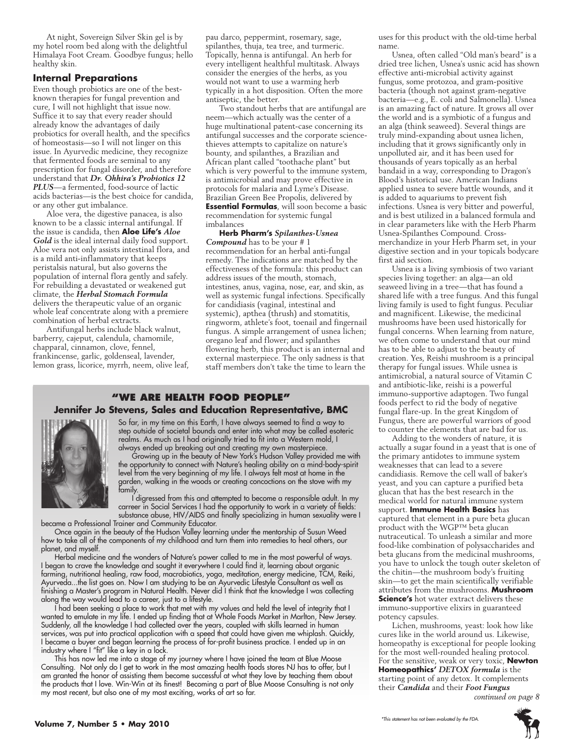At night, Sovereign Silver Skin gel is by my hotel room bed along with the delightful Himalaya Foot Cream. Goodbye fungus; hello healthy skin.

#### **Internal Preparations**

Even though probiotics are one of the bestknown therapies for fungal prevention and cure, I will not highlight that issue now. Suffice it to say that every reader should already know the advantages of daily probiotics for overall health, and the specifics of homeostasis—so I will not linger on this issue. In Ayurvedic medicine, they recognize that fermented foods are seminal to any prescription for fungal disorder, and therefore understand that *Dr. Ohhira's Probiotics 12 PLUS*—a fermented, food-source of lactic acids bacterias—is the best choice for candida, or any other gut imbalance.

Aloe vera, the digestive panacea, is also known to be a classic internal antifungal. If the issue is candida, then **Aloe Life's** *Aloe Gold* is the ideal internal daily food support. Aloe vera not only assists intestinal flora, and is a mild anti-inflammatory that keeps peristalsis natural, but also governs the population of internal flora gently and safely. For rebuilding a devastated or weakened gut climate, the *Herbal Stomach Formula*  delivers the therapeutic value of an organic whole leaf concentrate along with a premiere combination of herbal extracts.

Antifungal herbs include black walnut, barberry, cajeput, calendula, chamomile, chapparal, cinnamon, clove, fennel, frankincense, garlic, goldenseal, lavender, lemon grass, licorice, myrrh, neem, olive leaf, pau darco, peppermint, rosemary, sage, spilanthes, thuja, tea tree, and turmeric. Topically, henna is antifungal. An herb for every intelligent healthful multitask. Always consider the energies of the herbs, as you would not want to use a warming herb typically in a hot disposition. Often the more antiseptic, the better.

Two standout herbs that are antifungal are neem—which actually was the center of a huge multinational patent-case concerning its antifungal successes and the corporate sciencethieves attempts to capitalize on nature's bounty, and spilanthes, a Brazilian and African plant called "toothache plant" but which is very powerful to the immune system, is antimicrobial and may prove effective in protocols for malaria and Lyme's Disease. Brazilian Green Bee Propolis, delivered by **Essential Formulas**, will soon become a basic recommendation for systemic fungal imbalances

**Herb Pharm's** *Spilanthes-Usnea Compound* has to be your # 1 recommendation for an herbal anti-fungal remedy. The indications are matched by the effectiveness of the formula: this product can address issues of the mouth, stomach, intestines, anus, vagina, nose, ear, and skin, as well as systemic fungal infections. Specifically for candidiasis (vaginal, intestinal and systemic), apthea (thrush) and stomatitis, ringworm, athlete's foot, toenail and fingernail fungus. A simple arrangement of usnea lichen; oregano leaf and flower; and spilanthes flowering herb, this product is an internal and external masterpiece. The only sadness is that staff members don't take the time to learn the

#### **"We Are health food people" Jennifer Jo Stevens, Sales and Education Representative, BMC**



So far, in my time on this Earth, I have always seemed to find a way to step outside of societal bounds and enter into what may be called esoteric realms. As much as I had originally tried to fit into a Western mold, I always ended up breaking out and creating my own masterpiece.

Growing up in the beauty of New York's Hudson Valley provided me with the opportunity to connect with Nature's healing ability on a mind-body-spirit level from the very beginning of my life. I always felt most at home in the garden, walking in the woods or creating concoctions on the stove with my family.

I digressed from this and attempted to become a responsible adult. In my carreer in Social Services I had the opportunity to work in a variety of fields: substance abuse, HIV/AIDS and finally specializing in human sexuality were I

became a Professional Trainer and Community Educator. Once again in the beauty of the Hudson Valley learning under the mentorship of Susun Weed how to take all of the components of my childhood and turn them into remedies to heal others, our planet, and myself.

Herbal medicine and the wonders of Nature's power called to me in the most powerful of ways. I began to crave the knowledge and sought it everywhere I could find it, learning about organic farming, nutritional healing, raw food, macrobiotics, yoga, meditation, energy medicine, TCM, Reiki, Ayurveda...the list goes on. Now I am studying to be an Ayurvedic Lifestyle Consultant as well as finishing a Master's program in Natural Health. Never did I think that the knowledge I was collecting along the way would lead to a career, just to a lifestyle.

I had been seeking a place to work that met with my values and held the level of integrity that I wanted to emulate in my life. I ended up finding that at Whole Foods Market in Marlton, New Jersey. Suddenly, all the knowledge I had collected over the years, coupled with skills learned in human services, was put into practical application with a speed that could have given me whiplash. Quickly, I became a buyer and began learning the process of for-profit business practice. I ended up in an industry where I "fit" like a key in a lock.

This has now led me into a stage of my journey where I have joined the team at Blue Moose Consulting. Not only do I get to work in the most amazing health foods stores NJ has to offer, but I am granted the honor of assisting them become successful at what they love by teaching them about the products that I love. Win-Win at its finest! Becoming a part of Blue Moose Consulting is not only my most recent, but also one of my most exciting, works of art so far.

uses for this product with the old-time herbal name.

Usnea, often called "Old man's beard" is a dried tree lichen, Usnea's usnic acid has shown effective anti-microbial activity against fungus, some protozoa, and gram-positive bacteria (though not against gram-negative bacteria—e.g., E. coli and Salmonella). Usnea is an amazing fact of nature. It grows all over the world and is a symbiotic of a fungus and an alga (think seaweed). Several things are truly mind-expanding about usnea lichen, including that it grows significantly only in unpolluted air, and it has been used for thousands of years topically as an herbal bandaid in a way, corresponding to Dragon's Blood's historical use. American Indians applied usnea to severe battle wounds, and it is added to aquariums to prevent fish infections. Usnea is very bitter and powerful, and is best utilized in a balanced formula and in clear parameters like with the Herb Pharm Usnea-Spilanthes Compound. Crossmerchandize in your Herb Pharm set, in your digestive section and in your topicals bodycare first aid section.

Usnea is a living symbiosis of two variant species living together: an alga—an old seaweed living in a tree—that has found a shared life with a tree fungus. And this fungal living family is used to fight fungus. Peculiar and magnificent. Likewise, the medicinal mushrooms have been used historically for fungal concerns. When learning from nature, we often come to understand that our mind has to be able to adjust to the beauty of creation. Yes, Reishi mushroom is a principal therapy for fungal issues. While usnea is antimicrobial, a natural source of Vitamin C and antibiotic-like, reishi is a powerful immuno-supportive adaptogen. Two fungal foods perfect to rid the body of negative fungal flare-up. In the great Kingdom of Fungus, there are powerful warriors of good to counter the elements that are bad for us.

Adding to the wonders of nature, it is actually a sugar found in a yeast that is one of the primary antidotes to immune system weaknesses that can lead to a severe candidiasis. Remove the cell wall of baker's yeast, and you can capture a purified beta glucan that has the best research in the medical world for natural immune system support. **Immune Health Basics** has captured that element in a pure beta glucan product with the WGP™ beta glucan nutraceutical. To unleash a similar and more food-like combination of polysaccharides and beta glucans from the medicinal mushrooms, you have to unlock the tough outer skeleton of the chitin—the mushroom body's fruiting skin—to get the main scientifically verifiable attributes from the mushrooms. **Mushroom Science's** hot water extract delivers these immuno-supportive elixirs in guaranteed potency capsules.

Lichen, mushrooms, yeast: look how like cures like in the world around us. Likewise, homeopathy is exceptional for people looking for the most well-rounded healing protocol. For the sensitive, weak or very toxic, **Newton Homeopathics'** *DETOX formula* is the starting point of any detox. It complements their *Candida* and their *Foot Fungus continued on page 8*